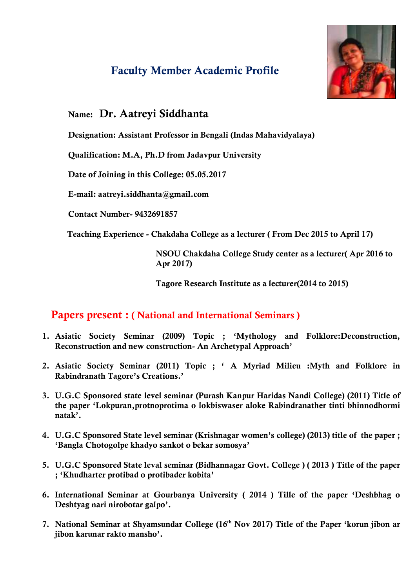## **Faculty Member Academic Profile**



## **Name: Dr. Aatreyi Siddhanta**

 **Designation: Assistant Professor in Bengali (Indas Mahavidyalaya)** 

 **Qualification: M.A, Ph.D from Jadavpur University** 

 **Date of Joining in this College: 05.05.2017** 

 **E-mail: aatreyi.siddhanta@gmail.com** 

 **Contact Number- 9432691857** 

 **Teaching Experience - Chakdaha College as a lecturer ( From Dec 2015 to April 17)** 

 **NSOU Chakdaha College Study center as a lecturer( Apr 2016 to Apr 2017)** 

 **Tagore Research Institute as a lecturer(2014 to 2015)** 

## **Papers present : ( National and International Seminars )**

- **1. Asiatic Society Seminar (2009) Topic ; 'Mythology and Folklore:Deconstruction, Reconstruction and new construction- An Archetypal Approach'**
- **2. Asiatic Society Seminar (2011) Topic ; ' A Myriad Milieu :Myth and Folklore in Rabindranath Tagore's Creations.'**
- **3. U.G.C Sponsored state level seminar (Purash Kanpur Haridas Nandi College) (2011) Title of the paper 'Lokpuran,protnoprotima o lokbiswaser aloke Rabindranather tinti bhinnodhormi natak'.**
- **4. U.G.C Sponsored State level seminar (Krishnagar women's college) (2013) title of the paper ; 'Bangla Chotogolpe khadyo sankot o bekar somosya'**
- **5. U.G.C Sponsored State leval seminar (Bidhannagar Govt. College ) ( 2013 ) Title of the paper ; 'Khudharter protibad o protibader kobita'**
- **6. International Seminar at Gourbanya University ( 2014 ) Tille of the paper 'Deshbhag o Deshtyag nari nirobotar galpo'.**
- **7. National Seminar at Shyamsundar College (16th Nov 2017) Title of the Paper 'korun jibon ar jibon karunar rakto mansho'.**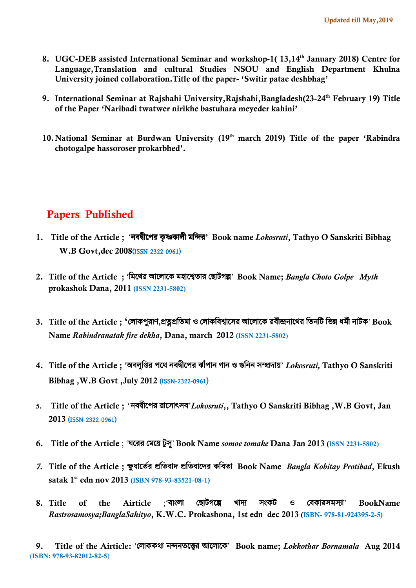- **8. UGC-DEB assisted International Seminar and workshop-1( 13,14th January 2018) Centre for Language,Translation and cultural Studies NSOU and English Department Khulna University joined collaboration.Title of the paper- 'Switir patae deshbhag'**
- **9. International Seminar at Rajshahi University,Rajshahi,Bangladesh(23-24th February 19) Title of the Paper 'Naribadi twatwer nirikhe bastuhara meyeder kahini'**
- **10.National Seminar at Burdwan University (19th march 2019) Title of the paper 'Rabindra chotogalpe hassoroser prokarbhed'.**

## **Papers Published**

- **1. Title of the Article ;** 'নবীেপর কৃ কালী মির**' Book name** *Lokosruti***, Tathyo O Sanskriti Bibhag W.B Govt,dec 2008**(ISSN-2322-0961)
- **2. Title of the Article ;** 'িমেথর আেলােক মহাে তার েছাটগ&' **Book Name;** *Bangla Choto Golpe Myth* **prokashok Dana, 2011 (ISSN 2231-5802)**
- **3. Title of the Article ; '**েলাকপুরাণ**,**)\*)িতমা ও েলাকিব ােসর আেলােক রবী-নােথর িতনিট িভ/ ধম1ী নাটক' **Book Name** *Rabindranatak fire dekha***, Dana, march 2012 (ISSN 2231-5802)**
- **4. Title of the Article ;** 'অবলুি3র পেথ নবীেপর ঝাঁপান গান ও 6িনন স7দায়' *Lokosruti,* **Tathyo O Sanskriti Bibhag ,W.B Govt ,July 2012** (ISSN-2322-0961)
- **5. Title of the Article ;** *'* নবীেপর রােসা:সব'*Lokosruti***,, Tathyo O Sanskriti Bibhag ,W.B Govt, Jan 2013** (ISSN-2322-0961)
- **6. Title of the Article** ; 'ঘেরর েমেয় টুসু' **Book Name** *somoe tomake* **Dana Jan 2013 (ISSN 2231-5802)**
- *7.* **Title of the Article ;** <ুধােত1র )িতবাদ )িতবােদর কিবতা**Book Name** *Bangla Kobitay Protibad***, Ekush satak 1st edn nov 2013 (ISBN 978-93-83521-08-1)**
- **8. Title of the Airticle** ;'বাংলা েছাটগে& খাদ? সংকট ও েবকারসমস?া' **BookName**  *Rastrosamosya;BanglaSahityo***, K.W.C. Prokashona, 1st edn dec 2013 (ISBN- 978-81-924395-2-5)**

 **9. Title of the Airticle:** 'েলাককথা ননতে@র আেলােক' **Book name;** *Lokkothar Bornamala* **Aug 2014** (**ISBN: 978-93-82012-82-5**)